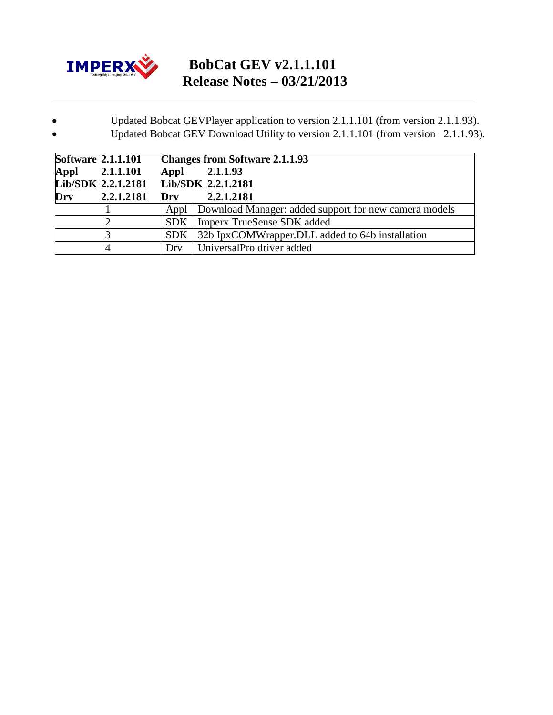

## **BobCat GEV v2.1.1.101 Release Notes – 03/21/2013**

## • Updated Bobcat GEVPlayer application to version 2.1.1.101 (from version 2.1.1.93).

• Updated Bobcat GEV Download Utility to version 2.1.1.101 (from version 2.1.1.93).

| <b>Software 2.1.1.101</b> | <b>Changes from Software 2.1.1.93</b> |                                                              |
|---------------------------|---------------------------------------|--------------------------------------------------------------|
| Appl 2.1.1.101            | Appl                                  | 2.1.1.93                                                     |
| Lib/SDK 2.2.1.2181        | Lib/SDK 2.2.1.2181                    |                                                              |
| 2.2.1.2181<br>Drv         | Drv                                   | 2.2.1.2181                                                   |
|                           |                                       | Appl   Download Manager: added support for new camera models |
|                           |                                       | <b>SDK</b>   Imperx TrueSense SDK added                      |
|                           | SDK                                   | 32b IpxCOMWrapper.DLL added to 64b installation              |
| 4                         | Drv                                   | UniversalPro driver added                                    |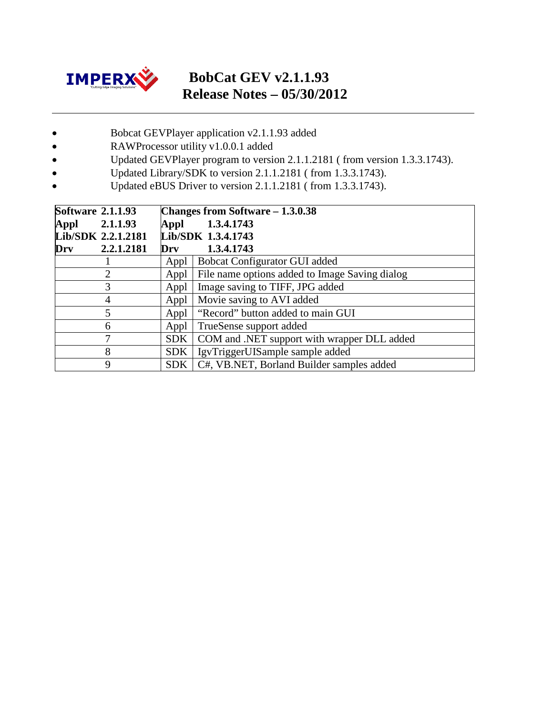

## **BobCat GEV v2.1.1.93 Release Notes – 05/30/2012**

- Bobcat GEVPlayer application v2.1.1.93 added
- RAWProcessor utility v1.0.0.1 added
- Updated GEVPlayer program to version 2.1.1.2181 ( from version 1.3.3.1743).
- Updated Library/SDK to version 2.1.1.2181 ( from 1.3.3.1743).
- Updated eBUS Driver to version 2.1.1.2181 (from 1.3.3.1743).

| <b>Software 2.1.1.93</b> | Changes from Software $-1.3.0.38$ |                                                |
|--------------------------|-----------------------------------|------------------------------------------------|
| 2.1.1.93<br>Appl         | Appl                              | 1.3.4.1743                                     |
| Lib/SDK 2.2.1.2181       | Lib/SDK 1.3.4.1743                |                                                |
| 2.2.1.2181<br>Drv        | Drv                               | 1.3.4.1743                                     |
|                          | Appl                              | Bobcat Configurator GUI added                  |
| $\overline{2}$           | Appl                              | File name options added to Image Saving dialog |
| 3                        | Appl                              | Image saving to TIFF, JPG added                |
| 4                        | Appl                              | Movie saving to AVI added                      |
| 5                        | Appl                              | "Record" button added to main GUI              |
| 6                        | Appl                              | TrueSense support added                        |
| 7                        | <b>SDK</b>                        | COM and .NET support with wrapper DLL added    |
| 8                        | <b>SDK</b>                        | IgvTriggerUISample sample added                |
| 9                        | <b>SDK</b>                        | C#, VB.NET, Borland Builder samples added      |